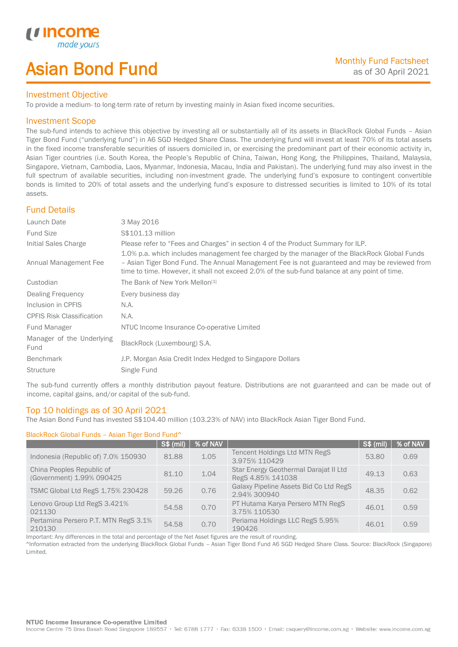# Asian Bond Fund

## Investment Objective

To provide a medium- to long-term rate of return by investing mainly in Asian fixed income securities.

## Investment Scope

*u* incom

I

The sub-fund intends to achieve this objective by investing all or substantially all of its assets in BlackRock Global Funds – Asian Tiger Bond Fund ("underlying fund") in A6 SGD Hedged Share Class. The underlying fund will invest at least 70% of its total assets in the fixed income transferable securities of issuers domiciled in, or exercising the predominant part of their economic activity in, Asian Tiger countries (i.e. South Korea, the People's Republic of China, Taiwan, Hong Kong, the Philippines, Thailand, Malaysia, Singapore, Vietnam, Cambodia, Laos, Myanmar, Indonesia, Macau, India and Pakistan). The underlying fund may also invest in the full spectrum of available securities, including non-investment grade. The underlying fund's exposure to contingent convertible bonds is limited to 20% of total assets and the underlying fund's exposure to distressed securities is limited to 10% of its total assets.

# Fund Details

| Launch Date                       | 3 May 2016                                                                                                                                                                                                                                                                                     |
|-----------------------------------|------------------------------------------------------------------------------------------------------------------------------------------------------------------------------------------------------------------------------------------------------------------------------------------------|
| <b>Fund Size</b>                  | S\$101.13 million                                                                                                                                                                                                                                                                              |
| Initial Sales Charge              | Please refer to "Fees and Charges" in section 4 of the Product Summary for ILP.                                                                                                                                                                                                                |
| Annual Management Fee             | 1.0% p.a. which includes management fee charged by the manager of the BlackRock Global Funds<br>- Asian Tiger Bond Fund. The Annual Management Fee is not guaranteed and may be reviewed from<br>time to time. However, it shall not exceed 2.0% of the sub-fund balance at any point of time. |
| Custodian                         | The Bank of New York Mellon <sup>[1]</sup>                                                                                                                                                                                                                                                     |
| Dealing Frequency                 | Every business day                                                                                                                                                                                                                                                                             |
| Inclusion in CPFIS                | N.A.                                                                                                                                                                                                                                                                                           |
| <b>CPFIS Risk Classification</b>  | N.A.                                                                                                                                                                                                                                                                                           |
| Fund Manager                      | NTUC Income Insurance Co-operative Limited                                                                                                                                                                                                                                                     |
| Manager of the Underlying<br>Fund | BlackRock (Luxembourg) S.A.                                                                                                                                                                                                                                                                    |
| <b>Benchmark</b>                  | J.P. Morgan Asia Credit Index Hedged to Singapore Dollars                                                                                                                                                                                                                                      |
| <b>Structure</b>                  | Single Fund                                                                                                                                                                                                                                                                                    |

The sub-fund currently offers a monthly distribution payout feature. Distributions are not guaranteed and can be made out of income, capital gains, and/or capital of the sub-fund.

## Top 10 holdings as of 30 April 2021

The Asian Bond Fund has invested S\$104.40 million (103.23% of NAV) into BlackRock Asian Tiger Bond Fund.

## BlackRock Global Funds – Asian Tiger Bond Fund^

|                                                        | <b>S\$ (mil)</b> | % of NAV |                                                            | <b>S\$ (mil)</b> | % of NAV |
|--------------------------------------------------------|------------------|----------|------------------------------------------------------------|------------------|----------|
| Indonesia (Republic of) 7.0% 150930                    | 81.88            | 1.05     | Tencent Holdings Ltd MTN RegS<br>3.975% 110429             | 53.80            | 0.69     |
| China Peoples Republic of<br>(Government) 1.99% 090425 | 81.10            | 1.04     | Star Energy Geothermal Darajat II Ltd<br>RegS 4.85% 141038 | 49.13            | 0.63     |
| TSMC Global Ltd RegS 1.75% 230428                      | 59.26            | 0.76     | Galaxy Pipeline Assets Bid Co Ltd RegS<br>2.94% 300940     | 48.35            | 0.62     |
| Lenovo Group Ltd RegS 3.421%<br>021130                 | 54.58            | 0.70     | PT Hutama Karya Persero MTN RegS<br>3.75% 110530           | 46.01            | 0.59     |
| Pertamina Persero P.T. MTN RegS 3.1%<br>210130         | 54.58            | 0.70     | Periama Holdings LLC RegS 5.95%<br>190426                  | 46.01            | 0.59     |

Important: Any differences in the total and percentage of the Net Asset figures are the result of rounding.

^Information extracted from the underlying BlackRock Global Funds – Asian Tiger Bond Fund A6 SGD Hedged Share Class. Source: BlackRock (Singapore) Limited.

### **NTUC Income Insurance Co-operative Limited**

Income Centre 75 Bras Basah Road Singapore 189557 · Tel: 6788 1777 · Fax: 6338 1500 · Email: csquery@income.com.sg · Website: www.income.com.sg